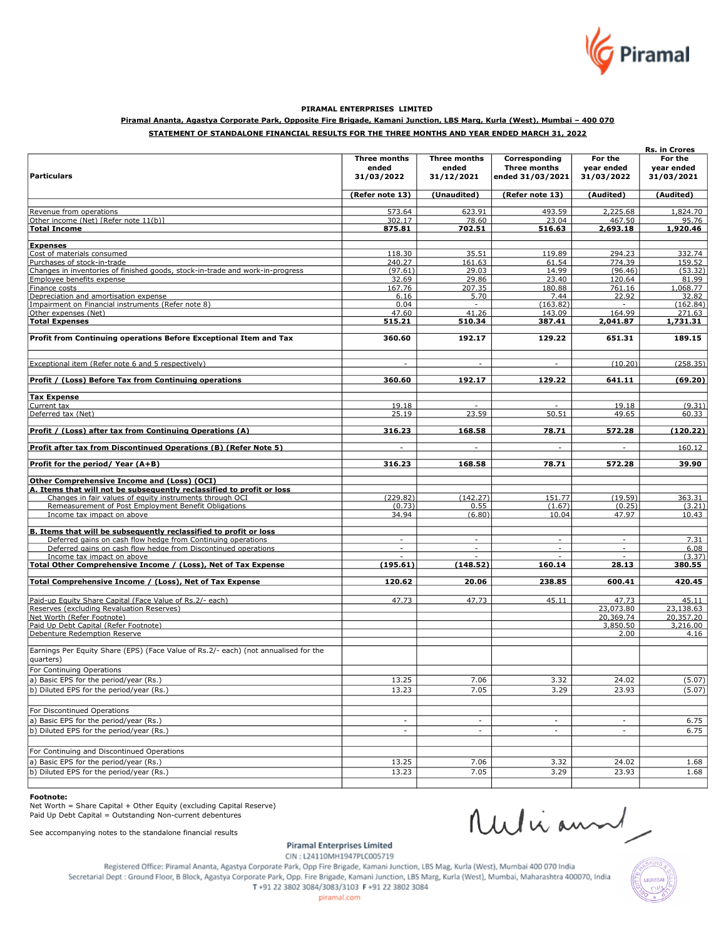

# PIRAMAL ENTERPRISES LIMITED

# Piramal Ananta, Agastya Corporate Park, Opposite Fire Brigade, Kamani Junction, LBS Marg, Kurla (West), Mumbai – 400 070

# STATEMENT OF STANDALONE FINANCIAL RESULTS FOR THE THREE MONTHS AND YEAR ENDED MARCH 31, 2022

|                                                                                     |                          |                          |                          |                          | Rs. in Crores     |
|-------------------------------------------------------------------------------------|--------------------------|--------------------------|--------------------------|--------------------------|-------------------|
|                                                                                     | Three months             | <b>Three months</b>      | Corresponding            | For the                  | For the           |
|                                                                                     | ended                    | ended                    | <b>Three months</b>      | year ended               | year ended        |
| <b>Particulars</b>                                                                  | 31/03/2022               | 31/12/2021               | ended 31/03/2021         | 31/03/2022               | 31/03/2021        |
|                                                                                     |                          |                          |                          |                          |                   |
|                                                                                     | (Refer note 13)          | (Unaudited)              | (Refer note 13)          | (Audited)                | (Audited)         |
|                                                                                     |                          |                          |                          |                          |                   |
| Revenue from operations<br>Other income (Net) [Refer note 11(b)]                    | 573.64<br>302.17         | 623.91<br>78.60          | 493.59<br>23.04          | 2,225.68<br>467.50       | 1,824.70<br>95.76 |
| <b>Total Income</b>                                                                 | 875.81                   | 702.51                   | 516.63                   | 2,693.18                 | 1,920.46          |
|                                                                                     |                          |                          |                          |                          |                   |
| <b>Expenses</b>                                                                     |                          |                          |                          |                          |                   |
| Cost of materials consumed                                                          | 118.30                   | 35.51                    | 119.89                   | 294.23                   | 332.74            |
| Purchases of stock-in-trade                                                         | 240.27                   | 161.63                   | 61.54                    | 774.39                   | 159.52            |
| Changes in inventories of finished goods, stock-in-trade and work-in-progress       | (97.61)                  | 29.03                    | 14.99                    | (96.46)                  | (53.32)           |
| Employee benefits expense                                                           | 32.69                    | 29.86                    | 23.40                    | 120.64                   | 81.99             |
| Finance costs                                                                       | 167.76                   | 207.35                   | 180.88                   | 761.16                   | 1,068.77          |
| Depreciation and amortisation expense                                               | 6.16                     | 5.70                     | 7.44                     | 22.92                    | 32.82             |
| Impairment on Financial instruments (Refer note 8)                                  | 0.04                     | $\sim$                   | (163.82)                 | $\sim$                   | (162.84)          |
| Other expenses (Net)                                                                | 47.60                    | 41.26                    | 143.09                   | 164.99                   | 271.63            |
| <b>Total Expenses</b>                                                               | 515.21                   | 510.34                   | 387.41                   | 2,041.87                 | 1,731.31          |
|                                                                                     |                          |                          |                          |                          |                   |
| Profit from Continuing operations Before Exceptional Item and Tax                   | 360.60                   | 192.17                   | 129.22                   | 651.31                   | 189.15            |
| Exceptional item (Refer note 6 and 5 respectively)                                  |                          | $\overline{\phantom{a}}$ | $\sim$                   | (10.20)                  | (258.35)          |
|                                                                                     |                          |                          |                          |                          |                   |
| Profit / (Loss) Before Tax from Continuing operations                               | 360.60                   | 192.17                   | 129.22                   | 641.11                   | (69.20)           |
| <b>Tax Expense</b>                                                                  |                          |                          |                          |                          |                   |
| Current tax                                                                         | 19.18                    |                          |                          | 19.18                    | (9.31)            |
| Deferred tax (Net)                                                                  | 25.19                    | 23.59                    | 50.51                    | 49.65                    | 60.33             |
| Profit / (Loss) after tax from Continuing Operations (A)                            | 316.23                   | 168.58                   | 78.71                    | 572.28                   | (120.22)          |
|                                                                                     |                          |                          |                          |                          |                   |
| Profit after tax from Discontinued Operations (B) (Refer Note 5)                    | $\overline{\phantom{a}}$ | $\overline{\phantom{a}}$ | $\overline{\phantom{a}}$ | $\sim$                   | 160.12            |
| Profit for the period/Year (A+B)                                                    | 316.23                   | 168.58                   | 78.71                    | 572.28                   | 39.90             |
| Other Comprehensive Income and (Loss) (OCI)                                         |                          |                          |                          |                          |                   |
| A. Items that will not be subsequently reclassified to profit or loss               |                          |                          |                          |                          |                   |
| Changes in fair values of equity instruments through OCI                            | (229.82)                 | (142.27)                 | 151.77                   | (19.59)                  | 363.31            |
| Remeasurement of Post Employment Benefit Obligations                                | (0.73)                   | 0.55                     | (1.67)                   | (0.25)                   | (3.21)            |
| Income tax impact on above                                                          | 34.94                    | (6.80)                   | 10.04                    | 47.97                    | 10.43             |
|                                                                                     |                          |                          |                          |                          |                   |
| B. Items that will be subsequently reclassified to profit or loss                   |                          |                          |                          |                          |                   |
| Deferred gains on cash flow hedge from Continuing operations                        | $\sim$                   | $\sim$                   | $\sim$                   | $\sim$                   | 7.31              |
| Deferred gains on cash flow hedge from Discontinued operations                      | $\overline{\phantom{a}}$ |                          |                          |                          | 6.08              |
| Income tax impact on above                                                          |                          |                          |                          |                          | (3.37)            |
| Total Other Comprehensive Income / (Loss), Net of Tax Expense                       | (195.61)                 | (148.52)                 | 160.14                   | 28.13                    | 380.55            |
| Total Comprehensive Income / (Loss), Net of Tax Expense                             | 120.62                   | 20.06                    | 238.85                   | 600.41                   | 420.45            |
|                                                                                     |                          |                          |                          |                          |                   |
| Paid-up Equity Share Capital (Face Value of Rs. 2/- each)                           | 47.73                    | 47.73                    | 45.11                    | 47.73                    | 45.11             |
| Reserves (excluding Revaluation Reserves)                                           |                          |                          |                          | 23,073.80                | 23,138.63         |
| Net Worth (Refer Footnote)                                                          |                          |                          |                          | 20,369.74                | 20,357.20         |
| Paid Up Debt Capital (Refer Footnote)                                               |                          |                          |                          | 3,850.50                 | 3,216.00          |
| Debenture Redemption Reserve                                                        |                          |                          |                          | 2.00                     | 4.16              |
| Earnings Per Equity Share (EPS) (Face Value of Rs.2/- each) (not annualised for the |                          |                          |                          |                          |                   |
| quarters)                                                                           |                          |                          |                          |                          |                   |
| For Continuing Operations                                                           |                          |                          |                          |                          |                   |
| a) Basic EPS for the period/year (Rs.)                                              | 13.25                    | 7.06                     | 3.32                     | 24.02                    | (5.07)            |
| b) Diluted EPS for the period/year (Rs.)                                            | 13.23                    | 7.05                     | 3.29                     | 23.93                    | (5.07)            |
|                                                                                     |                          |                          |                          |                          |                   |
| For Discontinued Operations                                                         |                          |                          |                          |                          |                   |
| a) Basic EPS for the period/year (Rs.)                                              | $\sim$                   | $\overline{\phantom{a}}$ | $\overline{\phantom{a}}$ | $\sim$                   | 6.75              |
| b) Diluted EPS for the period/year (Rs.)                                            | $\overline{\phantom{a}}$ | $\sim$                   | $\overline{\phantom{a}}$ | $\overline{\phantom{a}}$ | 6.75              |
|                                                                                     |                          |                          |                          |                          |                   |
| For Continuing and Discontinued Operations                                          |                          |                          |                          |                          |                   |
| a) Basic EPS for the period/year (Rs.)                                              | 13.25                    | 7.06                     | 3.32                     | 24.02                    | 1.68              |
| b) Diluted EPS for the period/year (Rs.)                                            | 13.23                    | 7.05                     | 3.29                     | 23.93                    | 1.68              |
|                                                                                     |                          |                          |                          |                          |                   |

### Footnote:

Net Worth = Share Capital + Other Equity (excluding Capital Reserve) Paid Up Debt Capital = Outstanding Non-current debentures

See accompanying notes to the standalone financial results

Ruliann

**Piramal Enterprises Limited** 

CIN: L24110MH1947PLC005719 Registered Office: Piramal Ananta, Agastya Corporate Park, Opp Fire Brigade, Kamani Junction, LBS Mag, Kurla (West), Mumbai 400 070 India Secretarial Dept : Ground Floor, B Block, Agastya Corporate Park, Opp. Fire Brigade, Kamani Junction, LBS Marg, Kurla (West), Mumbai, Maharashtra 400070, India T+91 22 3802 3084/3083/3103 F+91 22 3802 3084



piramal.com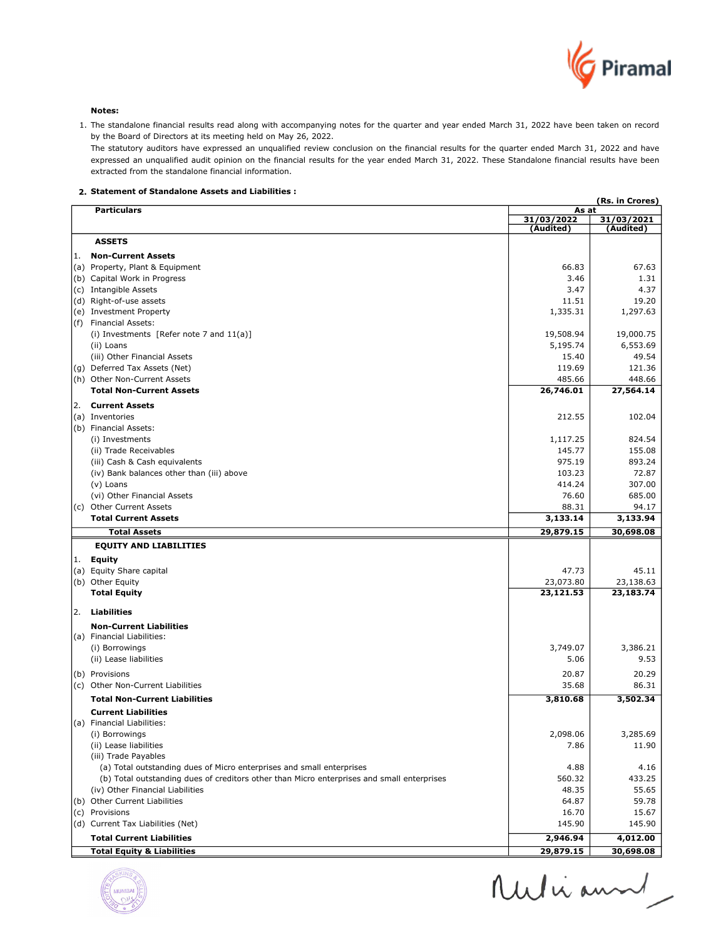

Notes:

1. The standalone financial results read along with accompanying notes for the quarter and year ended March 31, 2022 have been taken on record by the Board of Directors at its meeting held on May 26, 2022.

The statutory auditors have expressed an unqualified review conclusion on the financial results for the quarter ended March 31, 2022 and have expressed an unqualified audit opinion on the financial results for the year ended March 31, 2022. These Standalone financial results have been extracted from the standalone financial information.

# 2. Statement of Standalone Assets and Liabilities :

|     | (Rs. in Crores)<br><b>Particulars</b><br>As at                                             |                         |                         |
|-----|--------------------------------------------------------------------------------------------|-------------------------|-------------------------|
|     |                                                                                            | 31/03/2022<br>(Audited) | 31/03/2021<br>(Audited) |
|     | <b>ASSETS</b>                                                                              |                         |                         |
| 1.  | <b>Non-Current Assets</b>                                                                  |                         |                         |
|     | (a) Property, Plant & Equipment                                                            | 66.83                   | 67.63                   |
|     | (b) Capital Work in Progress                                                               | 3.46                    | 1.31                    |
|     | (c) Intangible Assets                                                                      | 3.47                    | 4.37                    |
|     | (d) Right-of-use assets                                                                    | 11.51                   | 19.20                   |
|     | (e) Investment Property                                                                    | 1,335.31                | 1,297.63                |
| (f) | <b>Financial Assets:</b>                                                                   |                         |                         |
|     | (i) Investments [Refer note 7 and $11(a)$ ]                                                | 19,508.94               | 19,000.75               |
|     | (ii) Loans                                                                                 | 5,195.74                | 6,553.69                |
|     | (iii) Other Financial Assets                                                               | 15.40                   | 49.54                   |
|     | (g) Deferred Tax Assets (Net)                                                              | 119.69                  | 121.36                  |
|     | (h) Other Non-Current Assets                                                               | 485.66                  | 448.66                  |
|     | <b>Total Non-Current Assets</b>                                                            | 26,746.01               | 27,564.14               |
| 2.  | <b>Current Assets</b>                                                                      |                         |                         |
|     | (a) Inventories                                                                            | 212.55                  | 102.04                  |
|     | (b) Financial Assets:                                                                      |                         |                         |
|     | (i) Investments                                                                            | 1,117.25                | 824.54                  |
|     | (ii) Trade Receivables                                                                     | 145.77                  | 155.08                  |
|     | (iii) Cash & Cash equivalents                                                              | 975.19                  | 893.24<br>72.87         |
|     | (iv) Bank balances other than (iii) above                                                  | 103.23                  | 307.00                  |
|     | (v) Loans<br>(vi) Other Financial Assets                                                   | 414.24<br>76.60         | 685.00                  |
|     | (c) Other Current Assets                                                                   | 88.31                   | 94.17                   |
|     | <b>Total Current Assets</b>                                                                | 3,133.14                | 3,133.94                |
|     | <b>Total Assets</b>                                                                        | 29,879.15               | 30,698.08               |
|     | <b>EQUITY AND LIABILITIES</b>                                                              |                         |                         |
|     | 1. Equity                                                                                  |                         |                         |
|     | (a) Equity Share capital                                                                   | 47.73                   | 45.11                   |
|     | (b) Other Equity                                                                           | 23,073.80               | 23,138.63               |
|     | <b>Total Equity</b>                                                                        | 23,121.53               | 23,183.74               |
| 2.  | Liabilities                                                                                |                         |                         |
|     | <b>Non-Current Liabilities</b>                                                             |                         |                         |
|     | (a) Financial Liabilities:                                                                 |                         |                         |
|     | (i) Borrowings                                                                             | 3,749.07                | 3,386.21                |
|     | (ii) Lease liabilities                                                                     | 5.06                    | 9.53                    |
|     | (b) Provisions                                                                             | 20.87                   | 20.29                   |
|     | (c) Other Non-Current Liabilities                                                          | 35.68                   | 86.31                   |
|     | <b>Total Non-Current Liabilities</b>                                                       | 3,810.68                | 3,502.34                |
|     | <b>Current Liabilities</b>                                                                 |                         |                         |
|     | (a) Financial Liabilities:                                                                 |                         |                         |
|     | (i) Borrowings                                                                             | 2,098.06                | 3,285.69                |
|     | (ii) Lease liabilities                                                                     | 7.86                    | 11.90                   |
|     | (iii) Trade Payables                                                                       |                         |                         |
|     | (a) Total outstanding dues of Micro enterprises and small enterprises                      | 4.88                    | 4.16                    |
|     | (b) Total outstanding dues of creditors other than Micro enterprises and small enterprises | 560.32                  | 433.25                  |
|     | (iv) Other Financial Liabilities                                                           | 48.35                   | 55.65                   |
|     | (b) Other Current Liabilities                                                              | 64.87                   | 59.78                   |
|     | (c) Provisions                                                                             | 16.70                   | 15.67                   |
|     | (d) Current Tax Liabilities (Net)                                                          | 145.90                  | 145.90                  |
|     | <b>Total Current Liabilities</b>                                                           | 2,946.94                | 4,012.00                |
|     | <b>Total Equity &amp; Liabilities</b>                                                      | 29,879.15               | 30,698.08               |



Ruliann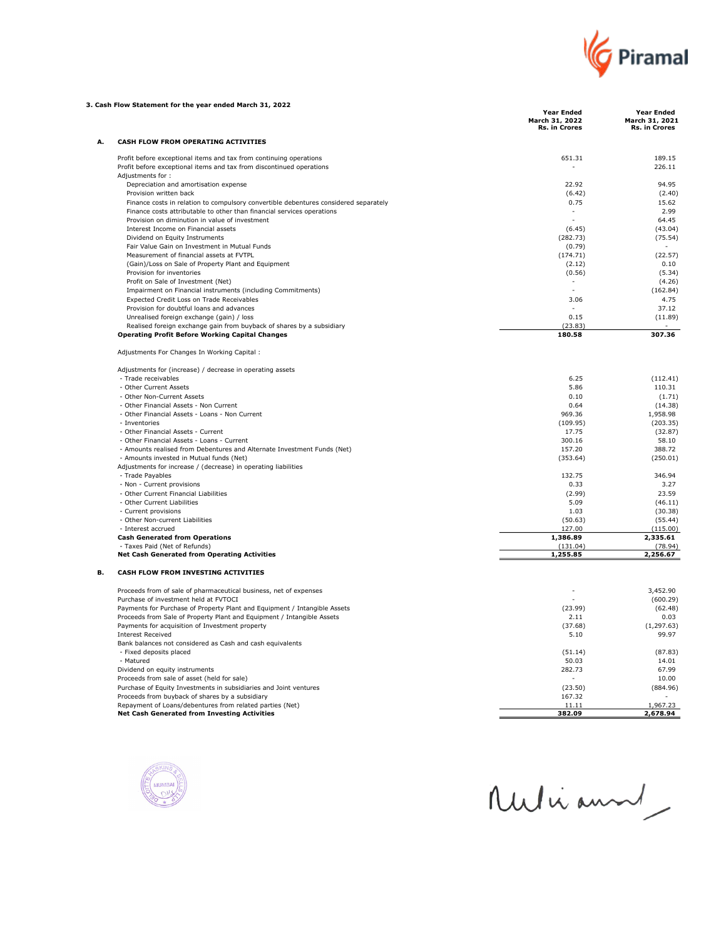

| <b>Year Ended</b><br><b>Year Ended</b><br>March 31, 2022<br>March 31, 2021<br>Rs. in Crores<br>Rs. in Crores<br>CASH FLOW FROM OPERATING ACTIVITIES<br>А.<br>Profit before exceptional items and tax from continuing operations<br>651.31<br>189.15<br>Profit before exceptional items and tax from discontinued operations<br>226.11<br>٠<br>Adjustments for:<br>Depreciation and amortisation expense<br>22.92<br>94.95<br>Provision written back<br>(2.40)<br>(6.42)<br>Finance costs in relation to compulsory convertible debentures considered separately<br>15.62<br>0.75<br>Finance costs attributable to other than financial services operations<br>2.99<br>Provision on diminution in value of investment<br>64.45<br>Interest Income on Financial assets<br>(6.45)<br>(43.04)<br>Dividend on Equity Instruments<br>(282.73)<br>(75.54)<br>Fair Value Gain on Investment in Mutual Funds<br>(0.79)<br>Measurement of financial assets at FVTPL<br>(174.71)<br>(22.57)<br>(Gain)/Loss on Sale of Property Plant and Equipment<br>0.10<br>(2.12)<br>Provision for inventories<br>(0.56)<br>(5.34)<br>Profit on Sale of Investment (Net)<br>(4.26)<br>Impairment on Financial instruments (including Commitments)<br>(162.84)<br>Expected Credit Loss on Trade Receivables<br>3.06<br>4.75<br>Provision for doubtful loans and advances<br>37.12<br>Unrealised foreign exchange (gain) / loss<br>0.15<br>(11.89)<br>Realised foreign exchange gain from buyback of shares by a subsidiary<br>(23.83)<br>307.36<br><b>Operating Profit Before Working Capital Changes</b><br>180.58<br>Adjustments For Changes In Working Capital :<br>Adjustments for (increase) / decrease in operating assets<br>- Trade receivables<br>6.25<br>(112.41)<br>- Other Current Assets<br>110.31<br>5.86<br>- Other Non-Current Assets<br>0.10<br>(1.71)<br>- Other Financial Assets - Non Current<br>0.64<br>(14.38)<br>- Other Financial Assets - Loans - Non Current<br>969.36<br>1,958.98<br>- Inventories<br>(109.95)<br>(203.35)<br>- Other Financial Assets - Current<br>17.75<br>(32.87)<br>- Other Financial Assets - Loans - Current<br>300.16<br>58.10<br>- Amounts realised from Debentures and Alternate Investment Funds (Net)<br>388.72<br>157.20<br>- Amounts invested in Mutual funds (Net)<br>(353.64)<br>(250.01)<br>Adjustments for increase / (decrease) in operating liabilities<br>- Trade Payables<br>132.75<br>346.94<br>- Non - Current provisions<br>0.33<br>3.27<br>- Other Current Financial Liabilities<br>(2.99)<br>23.59<br>- Other Current Liabilities<br>5.09<br>(46.11)<br>1.03<br>(30.38)<br>- Current provisions<br>- Other Non-current Liabilities<br>(50.63)<br>(55.44)<br>- Interest accrued<br>127.00<br>(115.00)<br><b>Cash Generated from Operations</b><br>1,386.89<br>2,335.61<br>- Taxes Paid (Net of Refunds)<br>(131.04)<br>(78.94)<br><b>Net Cash Generated from Operating Activities</b><br>1,255.85<br>2,256.67<br>CASH FLOW FROM INVESTING ACTIVITIES<br>в.<br>Proceeds from of sale of pharmaceutical business, net of expenses<br>3,452.90<br>Purchase of investment held at FVTOCI<br>(600.29)<br>Payments for Purchase of Property Plant and Equipment / Intangible Assets<br>(23.99)<br>(62.48)<br>Proceeds from Sale of Property Plant and Equipment / Intangible Assets<br>2.11<br>0.03<br>Payments for acquisition of Investment property<br>(37.68)<br>(1, 297.63)<br><b>Interest Received</b><br>5.10<br>99.97<br>Bank balances not considered as Cash and cash equivalents<br>- Fixed deposits placed<br>(51.14)<br>(87.83)<br>- Matured<br>50.03<br>14.01<br>Dividend on equity instruments<br>282.73<br>67.99<br>Proceeds from sale of asset (held for sale)<br>10.00<br>Purchase of Equity Investments in subsidiaries and Joint ventures<br>(23.50)<br>(884.96)<br>Proceeds from buyback of shares by a subsidiary<br>167.32<br>1,967.23<br>Repayment of Loans/debentures from related parties (Net)<br>11.11<br>382.09<br><b>Net Cash Generated from Investing Activities</b><br>2,678.94 | 3. Cash Flow Statement for the year ended March 31, 2022 |  |
|-----------------------------------------------------------------------------------------------------------------------------------------------------------------------------------------------------------------------------------------------------------------------------------------------------------------------------------------------------------------------------------------------------------------------------------------------------------------------------------------------------------------------------------------------------------------------------------------------------------------------------------------------------------------------------------------------------------------------------------------------------------------------------------------------------------------------------------------------------------------------------------------------------------------------------------------------------------------------------------------------------------------------------------------------------------------------------------------------------------------------------------------------------------------------------------------------------------------------------------------------------------------------------------------------------------------------------------------------------------------------------------------------------------------------------------------------------------------------------------------------------------------------------------------------------------------------------------------------------------------------------------------------------------------------------------------------------------------------------------------------------------------------------------------------------------------------------------------------------------------------------------------------------------------------------------------------------------------------------------------------------------------------------------------------------------------------------------------------------------------------------------------------------------------------------------------------------------------------------------------------------------------------------------------------------------------------------------------------------------------------------------------------------------------------------------------------------------------------------------------------------------------------------------------------------------------------------------------------------------------------------------------------------------------------------------------------------------------------------------------------------------------------------------------------------------------------------------------------------------------------------------------------------------------------------------------------------------------------------------------------------------------------------------------------------------------------------------------------------------------------------------------------------------------------------------------------------------------------------------------------------------------------------------------------------------------------------------------------------------------------------------------------------------------------------------------------------------------------------------------------------------------------------------------------------------------------------------------------------------------------------------------------------------------------------------------------------------------------------------------------------------------------------------------------------------------------------------------------------------------------------------------------------------------------------------------------------------------------------------------------------------------------------------------------------|----------------------------------------------------------|--|
|                                                                                                                                                                                                                                                                                                                                                                                                                                                                                                                                                                                                                                                                                                                                                                                                                                                                                                                                                                                                                                                                                                                                                                                                                                                                                                                                                                                                                                                                                                                                                                                                                                                                                                                                                                                                                                                                                                                                                                                                                                                                                                                                                                                                                                                                                                                                                                                                                                                                                                                                                                                                                                                                                                                                                                                                                                                                                                                                                                                                                                                                                                                                                                                                                                                                                                                                                                                                                                                                                                                                                                                                                                                                                                                                                                                                                                                                                                                                                                                                                                                     |                                                          |  |
|                                                                                                                                                                                                                                                                                                                                                                                                                                                                                                                                                                                                                                                                                                                                                                                                                                                                                                                                                                                                                                                                                                                                                                                                                                                                                                                                                                                                                                                                                                                                                                                                                                                                                                                                                                                                                                                                                                                                                                                                                                                                                                                                                                                                                                                                                                                                                                                                                                                                                                                                                                                                                                                                                                                                                                                                                                                                                                                                                                                                                                                                                                                                                                                                                                                                                                                                                                                                                                                                                                                                                                                                                                                                                                                                                                                                                                                                                                                                                                                                                                                     |                                                          |  |
|                                                                                                                                                                                                                                                                                                                                                                                                                                                                                                                                                                                                                                                                                                                                                                                                                                                                                                                                                                                                                                                                                                                                                                                                                                                                                                                                                                                                                                                                                                                                                                                                                                                                                                                                                                                                                                                                                                                                                                                                                                                                                                                                                                                                                                                                                                                                                                                                                                                                                                                                                                                                                                                                                                                                                                                                                                                                                                                                                                                                                                                                                                                                                                                                                                                                                                                                                                                                                                                                                                                                                                                                                                                                                                                                                                                                                                                                                                                                                                                                                                                     |                                                          |  |
|                                                                                                                                                                                                                                                                                                                                                                                                                                                                                                                                                                                                                                                                                                                                                                                                                                                                                                                                                                                                                                                                                                                                                                                                                                                                                                                                                                                                                                                                                                                                                                                                                                                                                                                                                                                                                                                                                                                                                                                                                                                                                                                                                                                                                                                                                                                                                                                                                                                                                                                                                                                                                                                                                                                                                                                                                                                                                                                                                                                                                                                                                                                                                                                                                                                                                                                                                                                                                                                                                                                                                                                                                                                                                                                                                                                                                                                                                                                                                                                                                                                     |                                                          |  |
|                                                                                                                                                                                                                                                                                                                                                                                                                                                                                                                                                                                                                                                                                                                                                                                                                                                                                                                                                                                                                                                                                                                                                                                                                                                                                                                                                                                                                                                                                                                                                                                                                                                                                                                                                                                                                                                                                                                                                                                                                                                                                                                                                                                                                                                                                                                                                                                                                                                                                                                                                                                                                                                                                                                                                                                                                                                                                                                                                                                                                                                                                                                                                                                                                                                                                                                                                                                                                                                                                                                                                                                                                                                                                                                                                                                                                                                                                                                                                                                                                                                     |                                                          |  |
|                                                                                                                                                                                                                                                                                                                                                                                                                                                                                                                                                                                                                                                                                                                                                                                                                                                                                                                                                                                                                                                                                                                                                                                                                                                                                                                                                                                                                                                                                                                                                                                                                                                                                                                                                                                                                                                                                                                                                                                                                                                                                                                                                                                                                                                                                                                                                                                                                                                                                                                                                                                                                                                                                                                                                                                                                                                                                                                                                                                                                                                                                                                                                                                                                                                                                                                                                                                                                                                                                                                                                                                                                                                                                                                                                                                                                                                                                                                                                                                                                                                     |                                                          |  |
|                                                                                                                                                                                                                                                                                                                                                                                                                                                                                                                                                                                                                                                                                                                                                                                                                                                                                                                                                                                                                                                                                                                                                                                                                                                                                                                                                                                                                                                                                                                                                                                                                                                                                                                                                                                                                                                                                                                                                                                                                                                                                                                                                                                                                                                                                                                                                                                                                                                                                                                                                                                                                                                                                                                                                                                                                                                                                                                                                                                                                                                                                                                                                                                                                                                                                                                                                                                                                                                                                                                                                                                                                                                                                                                                                                                                                                                                                                                                                                                                                                                     |                                                          |  |
|                                                                                                                                                                                                                                                                                                                                                                                                                                                                                                                                                                                                                                                                                                                                                                                                                                                                                                                                                                                                                                                                                                                                                                                                                                                                                                                                                                                                                                                                                                                                                                                                                                                                                                                                                                                                                                                                                                                                                                                                                                                                                                                                                                                                                                                                                                                                                                                                                                                                                                                                                                                                                                                                                                                                                                                                                                                                                                                                                                                                                                                                                                                                                                                                                                                                                                                                                                                                                                                                                                                                                                                                                                                                                                                                                                                                                                                                                                                                                                                                                                                     |                                                          |  |
|                                                                                                                                                                                                                                                                                                                                                                                                                                                                                                                                                                                                                                                                                                                                                                                                                                                                                                                                                                                                                                                                                                                                                                                                                                                                                                                                                                                                                                                                                                                                                                                                                                                                                                                                                                                                                                                                                                                                                                                                                                                                                                                                                                                                                                                                                                                                                                                                                                                                                                                                                                                                                                                                                                                                                                                                                                                                                                                                                                                                                                                                                                                                                                                                                                                                                                                                                                                                                                                                                                                                                                                                                                                                                                                                                                                                                                                                                                                                                                                                                                                     |                                                          |  |
|                                                                                                                                                                                                                                                                                                                                                                                                                                                                                                                                                                                                                                                                                                                                                                                                                                                                                                                                                                                                                                                                                                                                                                                                                                                                                                                                                                                                                                                                                                                                                                                                                                                                                                                                                                                                                                                                                                                                                                                                                                                                                                                                                                                                                                                                                                                                                                                                                                                                                                                                                                                                                                                                                                                                                                                                                                                                                                                                                                                                                                                                                                                                                                                                                                                                                                                                                                                                                                                                                                                                                                                                                                                                                                                                                                                                                                                                                                                                                                                                                                                     |                                                          |  |
|                                                                                                                                                                                                                                                                                                                                                                                                                                                                                                                                                                                                                                                                                                                                                                                                                                                                                                                                                                                                                                                                                                                                                                                                                                                                                                                                                                                                                                                                                                                                                                                                                                                                                                                                                                                                                                                                                                                                                                                                                                                                                                                                                                                                                                                                                                                                                                                                                                                                                                                                                                                                                                                                                                                                                                                                                                                                                                                                                                                                                                                                                                                                                                                                                                                                                                                                                                                                                                                                                                                                                                                                                                                                                                                                                                                                                                                                                                                                                                                                                                                     |                                                          |  |
|                                                                                                                                                                                                                                                                                                                                                                                                                                                                                                                                                                                                                                                                                                                                                                                                                                                                                                                                                                                                                                                                                                                                                                                                                                                                                                                                                                                                                                                                                                                                                                                                                                                                                                                                                                                                                                                                                                                                                                                                                                                                                                                                                                                                                                                                                                                                                                                                                                                                                                                                                                                                                                                                                                                                                                                                                                                                                                                                                                                                                                                                                                                                                                                                                                                                                                                                                                                                                                                                                                                                                                                                                                                                                                                                                                                                                                                                                                                                                                                                                                                     |                                                          |  |
|                                                                                                                                                                                                                                                                                                                                                                                                                                                                                                                                                                                                                                                                                                                                                                                                                                                                                                                                                                                                                                                                                                                                                                                                                                                                                                                                                                                                                                                                                                                                                                                                                                                                                                                                                                                                                                                                                                                                                                                                                                                                                                                                                                                                                                                                                                                                                                                                                                                                                                                                                                                                                                                                                                                                                                                                                                                                                                                                                                                                                                                                                                                                                                                                                                                                                                                                                                                                                                                                                                                                                                                                                                                                                                                                                                                                                                                                                                                                                                                                                                                     |                                                          |  |
|                                                                                                                                                                                                                                                                                                                                                                                                                                                                                                                                                                                                                                                                                                                                                                                                                                                                                                                                                                                                                                                                                                                                                                                                                                                                                                                                                                                                                                                                                                                                                                                                                                                                                                                                                                                                                                                                                                                                                                                                                                                                                                                                                                                                                                                                                                                                                                                                                                                                                                                                                                                                                                                                                                                                                                                                                                                                                                                                                                                                                                                                                                                                                                                                                                                                                                                                                                                                                                                                                                                                                                                                                                                                                                                                                                                                                                                                                                                                                                                                                                                     |                                                          |  |
|                                                                                                                                                                                                                                                                                                                                                                                                                                                                                                                                                                                                                                                                                                                                                                                                                                                                                                                                                                                                                                                                                                                                                                                                                                                                                                                                                                                                                                                                                                                                                                                                                                                                                                                                                                                                                                                                                                                                                                                                                                                                                                                                                                                                                                                                                                                                                                                                                                                                                                                                                                                                                                                                                                                                                                                                                                                                                                                                                                                                                                                                                                                                                                                                                                                                                                                                                                                                                                                                                                                                                                                                                                                                                                                                                                                                                                                                                                                                                                                                                                                     |                                                          |  |
|                                                                                                                                                                                                                                                                                                                                                                                                                                                                                                                                                                                                                                                                                                                                                                                                                                                                                                                                                                                                                                                                                                                                                                                                                                                                                                                                                                                                                                                                                                                                                                                                                                                                                                                                                                                                                                                                                                                                                                                                                                                                                                                                                                                                                                                                                                                                                                                                                                                                                                                                                                                                                                                                                                                                                                                                                                                                                                                                                                                                                                                                                                                                                                                                                                                                                                                                                                                                                                                                                                                                                                                                                                                                                                                                                                                                                                                                                                                                                                                                                                                     |                                                          |  |
|                                                                                                                                                                                                                                                                                                                                                                                                                                                                                                                                                                                                                                                                                                                                                                                                                                                                                                                                                                                                                                                                                                                                                                                                                                                                                                                                                                                                                                                                                                                                                                                                                                                                                                                                                                                                                                                                                                                                                                                                                                                                                                                                                                                                                                                                                                                                                                                                                                                                                                                                                                                                                                                                                                                                                                                                                                                                                                                                                                                                                                                                                                                                                                                                                                                                                                                                                                                                                                                                                                                                                                                                                                                                                                                                                                                                                                                                                                                                                                                                                                                     |                                                          |  |
|                                                                                                                                                                                                                                                                                                                                                                                                                                                                                                                                                                                                                                                                                                                                                                                                                                                                                                                                                                                                                                                                                                                                                                                                                                                                                                                                                                                                                                                                                                                                                                                                                                                                                                                                                                                                                                                                                                                                                                                                                                                                                                                                                                                                                                                                                                                                                                                                                                                                                                                                                                                                                                                                                                                                                                                                                                                                                                                                                                                                                                                                                                                                                                                                                                                                                                                                                                                                                                                                                                                                                                                                                                                                                                                                                                                                                                                                                                                                                                                                                                                     |                                                          |  |
|                                                                                                                                                                                                                                                                                                                                                                                                                                                                                                                                                                                                                                                                                                                                                                                                                                                                                                                                                                                                                                                                                                                                                                                                                                                                                                                                                                                                                                                                                                                                                                                                                                                                                                                                                                                                                                                                                                                                                                                                                                                                                                                                                                                                                                                                                                                                                                                                                                                                                                                                                                                                                                                                                                                                                                                                                                                                                                                                                                                                                                                                                                                                                                                                                                                                                                                                                                                                                                                                                                                                                                                                                                                                                                                                                                                                                                                                                                                                                                                                                                                     |                                                          |  |
|                                                                                                                                                                                                                                                                                                                                                                                                                                                                                                                                                                                                                                                                                                                                                                                                                                                                                                                                                                                                                                                                                                                                                                                                                                                                                                                                                                                                                                                                                                                                                                                                                                                                                                                                                                                                                                                                                                                                                                                                                                                                                                                                                                                                                                                                                                                                                                                                                                                                                                                                                                                                                                                                                                                                                                                                                                                                                                                                                                                                                                                                                                                                                                                                                                                                                                                                                                                                                                                                                                                                                                                                                                                                                                                                                                                                                                                                                                                                                                                                                                                     |                                                          |  |
|                                                                                                                                                                                                                                                                                                                                                                                                                                                                                                                                                                                                                                                                                                                                                                                                                                                                                                                                                                                                                                                                                                                                                                                                                                                                                                                                                                                                                                                                                                                                                                                                                                                                                                                                                                                                                                                                                                                                                                                                                                                                                                                                                                                                                                                                                                                                                                                                                                                                                                                                                                                                                                                                                                                                                                                                                                                                                                                                                                                                                                                                                                                                                                                                                                                                                                                                                                                                                                                                                                                                                                                                                                                                                                                                                                                                                                                                                                                                                                                                                                                     |                                                          |  |
|                                                                                                                                                                                                                                                                                                                                                                                                                                                                                                                                                                                                                                                                                                                                                                                                                                                                                                                                                                                                                                                                                                                                                                                                                                                                                                                                                                                                                                                                                                                                                                                                                                                                                                                                                                                                                                                                                                                                                                                                                                                                                                                                                                                                                                                                                                                                                                                                                                                                                                                                                                                                                                                                                                                                                                                                                                                                                                                                                                                                                                                                                                                                                                                                                                                                                                                                                                                                                                                                                                                                                                                                                                                                                                                                                                                                                                                                                                                                                                                                                                                     |                                                          |  |
|                                                                                                                                                                                                                                                                                                                                                                                                                                                                                                                                                                                                                                                                                                                                                                                                                                                                                                                                                                                                                                                                                                                                                                                                                                                                                                                                                                                                                                                                                                                                                                                                                                                                                                                                                                                                                                                                                                                                                                                                                                                                                                                                                                                                                                                                                                                                                                                                                                                                                                                                                                                                                                                                                                                                                                                                                                                                                                                                                                                                                                                                                                                                                                                                                                                                                                                                                                                                                                                                                                                                                                                                                                                                                                                                                                                                                                                                                                                                                                                                                                                     |                                                          |  |
|                                                                                                                                                                                                                                                                                                                                                                                                                                                                                                                                                                                                                                                                                                                                                                                                                                                                                                                                                                                                                                                                                                                                                                                                                                                                                                                                                                                                                                                                                                                                                                                                                                                                                                                                                                                                                                                                                                                                                                                                                                                                                                                                                                                                                                                                                                                                                                                                                                                                                                                                                                                                                                                                                                                                                                                                                                                                                                                                                                                                                                                                                                                                                                                                                                                                                                                                                                                                                                                                                                                                                                                                                                                                                                                                                                                                                                                                                                                                                                                                                                                     |                                                          |  |
|                                                                                                                                                                                                                                                                                                                                                                                                                                                                                                                                                                                                                                                                                                                                                                                                                                                                                                                                                                                                                                                                                                                                                                                                                                                                                                                                                                                                                                                                                                                                                                                                                                                                                                                                                                                                                                                                                                                                                                                                                                                                                                                                                                                                                                                                                                                                                                                                                                                                                                                                                                                                                                                                                                                                                                                                                                                                                                                                                                                                                                                                                                                                                                                                                                                                                                                                                                                                                                                                                                                                                                                                                                                                                                                                                                                                                                                                                                                                                                                                                                                     |                                                          |  |
|                                                                                                                                                                                                                                                                                                                                                                                                                                                                                                                                                                                                                                                                                                                                                                                                                                                                                                                                                                                                                                                                                                                                                                                                                                                                                                                                                                                                                                                                                                                                                                                                                                                                                                                                                                                                                                                                                                                                                                                                                                                                                                                                                                                                                                                                                                                                                                                                                                                                                                                                                                                                                                                                                                                                                                                                                                                                                                                                                                                                                                                                                                                                                                                                                                                                                                                                                                                                                                                                                                                                                                                                                                                                                                                                                                                                                                                                                                                                                                                                                                                     |                                                          |  |
|                                                                                                                                                                                                                                                                                                                                                                                                                                                                                                                                                                                                                                                                                                                                                                                                                                                                                                                                                                                                                                                                                                                                                                                                                                                                                                                                                                                                                                                                                                                                                                                                                                                                                                                                                                                                                                                                                                                                                                                                                                                                                                                                                                                                                                                                                                                                                                                                                                                                                                                                                                                                                                                                                                                                                                                                                                                                                                                                                                                                                                                                                                                                                                                                                                                                                                                                                                                                                                                                                                                                                                                                                                                                                                                                                                                                                                                                                                                                                                                                                                                     |                                                          |  |
|                                                                                                                                                                                                                                                                                                                                                                                                                                                                                                                                                                                                                                                                                                                                                                                                                                                                                                                                                                                                                                                                                                                                                                                                                                                                                                                                                                                                                                                                                                                                                                                                                                                                                                                                                                                                                                                                                                                                                                                                                                                                                                                                                                                                                                                                                                                                                                                                                                                                                                                                                                                                                                                                                                                                                                                                                                                                                                                                                                                                                                                                                                                                                                                                                                                                                                                                                                                                                                                                                                                                                                                                                                                                                                                                                                                                                                                                                                                                                                                                                                                     |                                                          |  |
|                                                                                                                                                                                                                                                                                                                                                                                                                                                                                                                                                                                                                                                                                                                                                                                                                                                                                                                                                                                                                                                                                                                                                                                                                                                                                                                                                                                                                                                                                                                                                                                                                                                                                                                                                                                                                                                                                                                                                                                                                                                                                                                                                                                                                                                                                                                                                                                                                                                                                                                                                                                                                                                                                                                                                                                                                                                                                                                                                                                                                                                                                                                                                                                                                                                                                                                                                                                                                                                                                                                                                                                                                                                                                                                                                                                                                                                                                                                                                                                                                                                     |                                                          |  |
|                                                                                                                                                                                                                                                                                                                                                                                                                                                                                                                                                                                                                                                                                                                                                                                                                                                                                                                                                                                                                                                                                                                                                                                                                                                                                                                                                                                                                                                                                                                                                                                                                                                                                                                                                                                                                                                                                                                                                                                                                                                                                                                                                                                                                                                                                                                                                                                                                                                                                                                                                                                                                                                                                                                                                                                                                                                                                                                                                                                                                                                                                                                                                                                                                                                                                                                                                                                                                                                                                                                                                                                                                                                                                                                                                                                                                                                                                                                                                                                                                                                     |                                                          |  |
|                                                                                                                                                                                                                                                                                                                                                                                                                                                                                                                                                                                                                                                                                                                                                                                                                                                                                                                                                                                                                                                                                                                                                                                                                                                                                                                                                                                                                                                                                                                                                                                                                                                                                                                                                                                                                                                                                                                                                                                                                                                                                                                                                                                                                                                                                                                                                                                                                                                                                                                                                                                                                                                                                                                                                                                                                                                                                                                                                                                                                                                                                                                                                                                                                                                                                                                                                                                                                                                                                                                                                                                                                                                                                                                                                                                                                                                                                                                                                                                                                                                     |                                                          |  |
|                                                                                                                                                                                                                                                                                                                                                                                                                                                                                                                                                                                                                                                                                                                                                                                                                                                                                                                                                                                                                                                                                                                                                                                                                                                                                                                                                                                                                                                                                                                                                                                                                                                                                                                                                                                                                                                                                                                                                                                                                                                                                                                                                                                                                                                                                                                                                                                                                                                                                                                                                                                                                                                                                                                                                                                                                                                                                                                                                                                                                                                                                                                                                                                                                                                                                                                                                                                                                                                                                                                                                                                                                                                                                                                                                                                                                                                                                                                                                                                                                                                     |                                                          |  |
|                                                                                                                                                                                                                                                                                                                                                                                                                                                                                                                                                                                                                                                                                                                                                                                                                                                                                                                                                                                                                                                                                                                                                                                                                                                                                                                                                                                                                                                                                                                                                                                                                                                                                                                                                                                                                                                                                                                                                                                                                                                                                                                                                                                                                                                                                                                                                                                                                                                                                                                                                                                                                                                                                                                                                                                                                                                                                                                                                                                                                                                                                                                                                                                                                                                                                                                                                                                                                                                                                                                                                                                                                                                                                                                                                                                                                                                                                                                                                                                                                                                     |                                                          |  |
|                                                                                                                                                                                                                                                                                                                                                                                                                                                                                                                                                                                                                                                                                                                                                                                                                                                                                                                                                                                                                                                                                                                                                                                                                                                                                                                                                                                                                                                                                                                                                                                                                                                                                                                                                                                                                                                                                                                                                                                                                                                                                                                                                                                                                                                                                                                                                                                                                                                                                                                                                                                                                                                                                                                                                                                                                                                                                                                                                                                                                                                                                                                                                                                                                                                                                                                                                                                                                                                                                                                                                                                                                                                                                                                                                                                                                                                                                                                                                                                                                                                     |                                                          |  |
|                                                                                                                                                                                                                                                                                                                                                                                                                                                                                                                                                                                                                                                                                                                                                                                                                                                                                                                                                                                                                                                                                                                                                                                                                                                                                                                                                                                                                                                                                                                                                                                                                                                                                                                                                                                                                                                                                                                                                                                                                                                                                                                                                                                                                                                                                                                                                                                                                                                                                                                                                                                                                                                                                                                                                                                                                                                                                                                                                                                                                                                                                                                                                                                                                                                                                                                                                                                                                                                                                                                                                                                                                                                                                                                                                                                                                                                                                                                                                                                                                                                     |                                                          |  |
|                                                                                                                                                                                                                                                                                                                                                                                                                                                                                                                                                                                                                                                                                                                                                                                                                                                                                                                                                                                                                                                                                                                                                                                                                                                                                                                                                                                                                                                                                                                                                                                                                                                                                                                                                                                                                                                                                                                                                                                                                                                                                                                                                                                                                                                                                                                                                                                                                                                                                                                                                                                                                                                                                                                                                                                                                                                                                                                                                                                                                                                                                                                                                                                                                                                                                                                                                                                                                                                                                                                                                                                                                                                                                                                                                                                                                                                                                                                                                                                                                                                     |                                                          |  |
|                                                                                                                                                                                                                                                                                                                                                                                                                                                                                                                                                                                                                                                                                                                                                                                                                                                                                                                                                                                                                                                                                                                                                                                                                                                                                                                                                                                                                                                                                                                                                                                                                                                                                                                                                                                                                                                                                                                                                                                                                                                                                                                                                                                                                                                                                                                                                                                                                                                                                                                                                                                                                                                                                                                                                                                                                                                                                                                                                                                                                                                                                                                                                                                                                                                                                                                                                                                                                                                                                                                                                                                                                                                                                                                                                                                                                                                                                                                                                                                                                                                     |                                                          |  |
|                                                                                                                                                                                                                                                                                                                                                                                                                                                                                                                                                                                                                                                                                                                                                                                                                                                                                                                                                                                                                                                                                                                                                                                                                                                                                                                                                                                                                                                                                                                                                                                                                                                                                                                                                                                                                                                                                                                                                                                                                                                                                                                                                                                                                                                                                                                                                                                                                                                                                                                                                                                                                                                                                                                                                                                                                                                                                                                                                                                                                                                                                                                                                                                                                                                                                                                                                                                                                                                                                                                                                                                                                                                                                                                                                                                                                                                                                                                                                                                                                                                     |                                                          |  |
|                                                                                                                                                                                                                                                                                                                                                                                                                                                                                                                                                                                                                                                                                                                                                                                                                                                                                                                                                                                                                                                                                                                                                                                                                                                                                                                                                                                                                                                                                                                                                                                                                                                                                                                                                                                                                                                                                                                                                                                                                                                                                                                                                                                                                                                                                                                                                                                                                                                                                                                                                                                                                                                                                                                                                                                                                                                                                                                                                                                                                                                                                                                                                                                                                                                                                                                                                                                                                                                                                                                                                                                                                                                                                                                                                                                                                                                                                                                                                                                                                                                     |                                                          |  |
|                                                                                                                                                                                                                                                                                                                                                                                                                                                                                                                                                                                                                                                                                                                                                                                                                                                                                                                                                                                                                                                                                                                                                                                                                                                                                                                                                                                                                                                                                                                                                                                                                                                                                                                                                                                                                                                                                                                                                                                                                                                                                                                                                                                                                                                                                                                                                                                                                                                                                                                                                                                                                                                                                                                                                                                                                                                                                                                                                                                                                                                                                                                                                                                                                                                                                                                                                                                                                                                                                                                                                                                                                                                                                                                                                                                                                                                                                                                                                                                                                                                     |                                                          |  |
|                                                                                                                                                                                                                                                                                                                                                                                                                                                                                                                                                                                                                                                                                                                                                                                                                                                                                                                                                                                                                                                                                                                                                                                                                                                                                                                                                                                                                                                                                                                                                                                                                                                                                                                                                                                                                                                                                                                                                                                                                                                                                                                                                                                                                                                                                                                                                                                                                                                                                                                                                                                                                                                                                                                                                                                                                                                                                                                                                                                                                                                                                                                                                                                                                                                                                                                                                                                                                                                                                                                                                                                                                                                                                                                                                                                                                                                                                                                                                                                                                                                     |                                                          |  |
|                                                                                                                                                                                                                                                                                                                                                                                                                                                                                                                                                                                                                                                                                                                                                                                                                                                                                                                                                                                                                                                                                                                                                                                                                                                                                                                                                                                                                                                                                                                                                                                                                                                                                                                                                                                                                                                                                                                                                                                                                                                                                                                                                                                                                                                                                                                                                                                                                                                                                                                                                                                                                                                                                                                                                                                                                                                                                                                                                                                                                                                                                                                                                                                                                                                                                                                                                                                                                                                                                                                                                                                                                                                                                                                                                                                                                                                                                                                                                                                                                                                     |                                                          |  |
|                                                                                                                                                                                                                                                                                                                                                                                                                                                                                                                                                                                                                                                                                                                                                                                                                                                                                                                                                                                                                                                                                                                                                                                                                                                                                                                                                                                                                                                                                                                                                                                                                                                                                                                                                                                                                                                                                                                                                                                                                                                                                                                                                                                                                                                                                                                                                                                                                                                                                                                                                                                                                                                                                                                                                                                                                                                                                                                                                                                                                                                                                                                                                                                                                                                                                                                                                                                                                                                                                                                                                                                                                                                                                                                                                                                                                                                                                                                                                                                                                                                     |                                                          |  |
|                                                                                                                                                                                                                                                                                                                                                                                                                                                                                                                                                                                                                                                                                                                                                                                                                                                                                                                                                                                                                                                                                                                                                                                                                                                                                                                                                                                                                                                                                                                                                                                                                                                                                                                                                                                                                                                                                                                                                                                                                                                                                                                                                                                                                                                                                                                                                                                                                                                                                                                                                                                                                                                                                                                                                                                                                                                                                                                                                                                                                                                                                                                                                                                                                                                                                                                                                                                                                                                                                                                                                                                                                                                                                                                                                                                                                                                                                                                                                                                                                                                     |                                                          |  |
|                                                                                                                                                                                                                                                                                                                                                                                                                                                                                                                                                                                                                                                                                                                                                                                                                                                                                                                                                                                                                                                                                                                                                                                                                                                                                                                                                                                                                                                                                                                                                                                                                                                                                                                                                                                                                                                                                                                                                                                                                                                                                                                                                                                                                                                                                                                                                                                                                                                                                                                                                                                                                                                                                                                                                                                                                                                                                                                                                                                                                                                                                                                                                                                                                                                                                                                                                                                                                                                                                                                                                                                                                                                                                                                                                                                                                                                                                                                                                                                                                                                     |                                                          |  |
|                                                                                                                                                                                                                                                                                                                                                                                                                                                                                                                                                                                                                                                                                                                                                                                                                                                                                                                                                                                                                                                                                                                                                                                                                                                                                                                                                                                                                                                                                                                                                                                                                                                                                                                                                                                                                                                                                                                                                                                                                                                                                                                                                                                                                                                                                                                                                                                                                                                                                                                                                                                                                                                                                                                                                                                                                                                                                                                                                                                                                                                                                                                                                                                                                                                                                                                                                                                                                                                                                                                                                                                                                                                                                                                                                                                                                                                                                                                                                                                                                                                     |                                                          |  |
|                                                                                                                                                                                                                                                                                                                                                                                                                                                                                                                                                                                                                                                                                                                                                                                                                                                                                                                                                                                                                                                                                                                                                                                                                                                                                                                                                                                                                                                                                                                                                                                                                                                                                                                                                                                                                                                                                                                                                                                                                                                                                                                                                                                                                                                                                                                                                                                                                                                                                                                                                                                                                                                                                                                                                                                                                                                                                                                                                                                                                                                                                                                                                                                                                                                                                                                                                                                                                                                                                                                                                                                                                                                                                                                                                                                                                                                                                                                                                                                                                                                     |                                                          |  |
|                                                                                                                                                                                                                                                                                                                                                                                                                                                                                                                                                                                                                                                                                                                                                                                                                                                                                                                                                                                                                                                                                                                                                                                                                                                                                                                                                                                                                                                                                                                                                                                                                                                                                                                                                                                                                                                                                                                                                                                                                                                                                                                                                                                                                                                                                                                                                                                                                                                                                                                                                                                                                                                                                                                                                                                                                                                                                                                                                                                                                                                                                                                                                                                                                                                                                                                                                                                                                                                                                                                                                                                                                                                                                                                                                                                                                                                                                                                                                                                                                                                     |                                                          |  |
|                                                                                                                                                                                                                                                                                                                                                                                                                                                                                                                                                                                                                                                                                                                                                                                                                                                                                                                                                                                                                                                                                                                                                                                                                                                                                                                                                                                                                                                                                                                                                                                                                                                                                                                                                                                                                                                                                                                                                                                                                                                                                                                                                                                                                                                                                                                                                                                                                                                                                                                                                                                                                                                                                                                                                                                                                                                                                                                                                                                                                                                                                                                                                                                                                                                                                                                                                                                                                                                                                                                                                                                                                                                                                                                                                                                                                                                                                                                                                                                                                                                     |                                                          |  |
|                                                                                                                                                                                                                                                                                                                                                                                                                                                                                                                                                                                                                                                                                                                                                                                                                                                                                                                                                                                                                                                                                                                                                                                                                                                                                                                                                                                                                                                                                                                                                                                                                                                                                                                                                                                                                                                                                                                                                                                                                                                                                                                                                                                                                                                                                                                                                                                                                                                                                                                                                                                                                                                                                                                                                                                                                                                                                                                                                                                                                                                                                                                                                                                                                                                                                                                                                                                                                                                                                                                                                                                                                                                                                                                                                                                                                                                                                                                                                                                                                                                     |                                                          |  |
|                                                                                                                                                                                                                                                                                                                                                                                                                                                                                                                                                                                                                                                                                                                                                                                                                                                                                                                                                                                                                                                                                                                                                                                                                                                                                                                                                                                                                                                                                                                                                                                                                                                                                                                                                                                                                                                                                                                                                                                                                                                                                                                                                                                                                                                                                                                                                                                                                                                                                                                                                                                                                                                                                                                                                                                                                                                                                                                                                                                                                                                                                                                                                                                                                                                                                                                                                                                                                                                                                                                                                                                                                                                                                                                                                                                                                                                                                                                                                                                                                                                     |                                                          |  |
|                                                                                                                                                                                                                                                                                                                                                                                                                                                                                                                                                                                                                                                                                                                                                                                                                                                                                                                                                                                                                                                                                                                                                                                                                                                                                                                                                                                                                                                                                                                                                                                                                                                                                                                                                                                                                                                                                                                                                                                                                                                                                                                                                                                                                                                                                                                                                                                                                                                                                                                                                                                                                                                                                                                                                                                                                                                                                                                                                                                                                                                                                                                                                                                                                                                                                                                                                                                                                                                                                                                                                                                                                                                                                                                                                                                                                                                                                                                                                                                                                                                     |                                                          |  |
|                                                                                                                                                                                                                                                                                                                                                                                                                                                                                                                                                                                                                                                                                                                                                                                                                                                                                                                                                                                                                                                                                                                                                                                                                                                                                                                                                                                                                                                                                                                                                                                                                                                                                                                                                                                                                                                                                                                                                                                                                                                                                                                                                                                                                                                                                                                                                                                                                                                                                                                                                                                                                                                                                                                                                                                                                                                                                                                                                                                                                                                                                                                                                                                                                                                                                                                                                                                                                                                                                                                                                                                                                                                                                                                                                                                                                                                                                                                                                                                                                                                     |                                                          |  |
|                                                                                                                                                                                                                                                                                                                                                                                                                                                                                                                                                                                                                                                                                                                                                                                                                                                                                                                                                                                                                                                                                                                                                                                                                                                                                                                                                                                                                                                                                                                                                                                                                                                                                                                                                                                                                                                                                                                                                                                                                                                                                                                                                                                                                                                                                                                                                                                                                                                                                                                                                                                                                                                                                                                                                                                                                                                                                                                                                                                                                                                                                                                                                                                                                                                                                                                                                                                                                                                                                                                                                                                                                                                                                                                                                                                                                                                                                                                                                                                                                                                     |                                                          |  |
|                                                                                                                                                                                                                                                                                                                                                                                                                                                                                                                                                                                                                                                                                                                                                                                                                                                                                                                                                                                                                                                                                                                                                                                                                                                                                                                                                                                                                                                                                                                                                                                                                                                                                                                                                                                                                                                                                                                                                                                                                                                                                                                                                                                                                                                                                                                                                                                                                                                                                                                                                                                                                                                                                                                                                                                                                                                                                                                                                                                                                                                                                                                                                                                                                                                                                                                                                                                                                                                                                                                                                                                                                                                                                                                                                                                                                                                                                                                                                                                                                                                     |                                                          |  |
|                                                                                                                                                                                                                                                                                                                                                                                                                                                                                                                                                                                                                                                                                                                                                                                                                                                                                                                                                                                                                                                                                                                                                                                                                                                                                                                                                                                                                                                                                                                                                                                                                                                                                                                                                                                                                                                                                                                                                                                                                                                                                                                                                                                                                                                                                                                                                                                                                                                                                                                                                                                                                                                                                                                                                                                                                                                                                                                                                                                                                                                                                                                                                                                                                                                                                                                                                                                                                                                                                                                                                                                                                                                                                                                                                                                                                                                                                                                                                                                                                                                     |                                                          |  |
|                                                                                                                                                                                                                                                                                                                                                                                                                                                                                                                                                                                                                                                                                                                                                                                                                                                                                                                                                                                                                                                                                                                                                                                                                                                                                                                                                                                                                                                                                                                                                                                                                                                                                                                                                                                                                                                                                                                                                                                                                                                                                                                                                                                                                                                                                                                                                                                                                                                                                                                                                                                                                                                                                                                                                                                                                                                                                                                                                                                                                                                                                                                                                                                                                                                                                                                                                                                                                                                                                                                                                                                                                                                                                                                                                                                                                                                                                                                                                                                                                                                     |                                                          |  |
|                                                                                                                                                                                                                                                                                                                                                                                                                                                                                                                                                                                                                                                                                                                                                                                                                                                                                                                                                                                                                                                                                                                                                                                                                                                                                                                                                                                                                                                                                                                                                                                                                                                                                                                                                                                                                                                                                                                                                                                                                                                                                                                                                                                                                                                                                                                                                                                                                                                                                                                                                                                                                                                                                                                                                                                                                                                                                                                                                                                                                                                                                                                                                                                                                                                                                                                                                                                                                                                                                                                                                                                                                                                                                                                                                                                                                                                                                                                                                                                                                                                     |                                                          |  |
|                                                                                                                                                                                                                                                                                                                                                                                                                                                                                                                                                                                                                                                                                                                                                                                                                                                                                                                                                                                                                                                                                                                                                                                                                                                                                                                                                                                                                                                                                                                                                                                                                                                                                                                                                                                                                                                                                                                                                                                                                                                                                                                                                                                                                                                                                                                                                                                                                                                                                                                                                                                                                                                                                                                                                                                                                                                                                                                                                                                                                                                                                                                                                                                                                                                                                                                                                                                                                                                                                                                                                                                                                                                                                                                                                                                                                                                                                                                                                                                                                                                     |                                                          |  |
|                                                                                                                                                                                                                                                                                                                                                                                                                                                                                                                                                                                                                                                                                                                                                                                                                                                                                                                                                                                                                                                                                                                                                                                                                                                                                                                                                                                                                                                                                                                                                                                                                                                                                                                                                                                                                                                                                                                                                                                                                                                                                                                                                                                                                                                                                                                                                                                                                                                                                                                                                                                                                                                                                                                                                                                                                                                                                                                                                                                                                                                                                                                                                                                                                                                                                                                                                                                                                                                                                                                                                                                                                                                                                                                                                                                                                                                                                                                                                                                                                                                     |                                                          |  |



Rulianne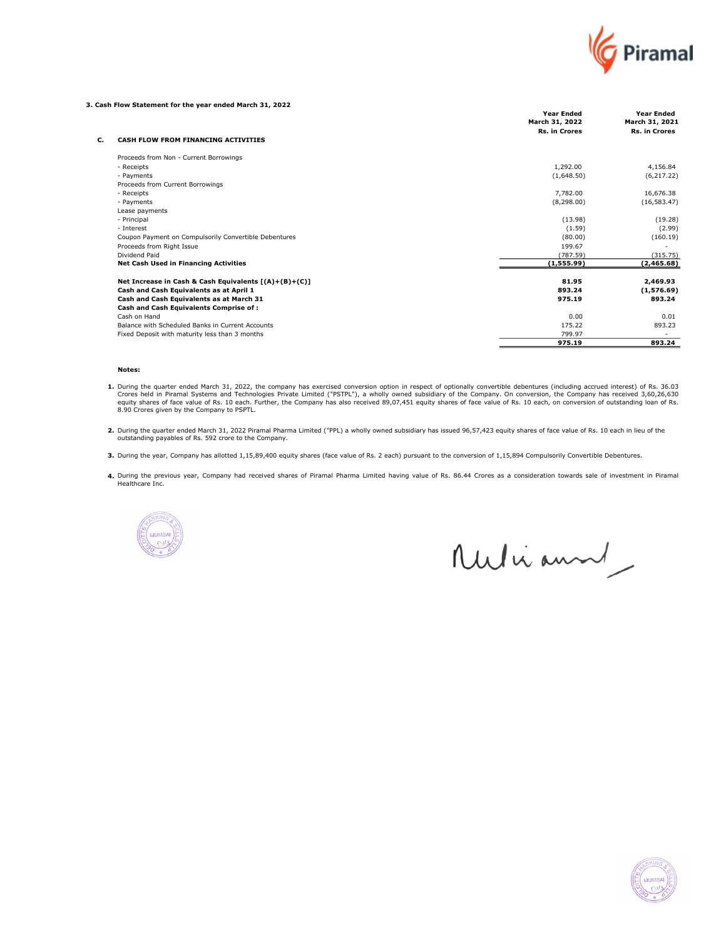

#### 3. Cash Flow Statement for the year ended March 31, 2022

|                |                                                       | <b>Year Ended</b><br>March 31, 2022 | <b>Year Ended</b><br>March 31, 2021 |
|----------------|-------------------------------------------------------|-------------------------------------|-------------------------------------|
|                |                                                       | <b>Rs. in Crores</b>                | <b>Rs. in Crores</b>                |
| c.             | CASH FLOW FROM FINANCING ACTIVITIES                   |                                     |                                     |
|                | Proceeds from Non - Current Borrowings                |                                     |                                     |
| - Receipts     |                                                       | 1,292.00                            | 4,156.84                            |
| - Payments     |                                                       | (1,648.50)                          | (6, 217.22)                         |
|                | Proceeds from Current Borrowings                      |                                     |                                     |
| - Receipts     |                                                       | 7,782.00                            | 16,676.38                           |
| - Payments     |                                                       | (8,298.00)                          | (16, 583.47)                        |
| Lease payments |                                                       |                                     |                                     |
| - Principal    |                                                       | (13.98)                             | (19.28)                             |
| - Interest     |                                                       | (1.59)                              | (2.99)                              |
|                | Coupon Payment on Compulsorily Convertible Debentures | (80.00)                             | (160.19)                            |
|                | Proceeds from Right Issue                             | 199.67                              |                                     |
| Dividend Paid  |                                                       | (787.59)                            | (315.75)                            |
|                | <b>Net Cash Used in Financing Activities</b>          | (1,555.99)                          | (2,465.68)                          |
|                | Net Increase in Cash & Cash Equivalents [(A)+(B)+(C)] | 81.95                               | 2,469.93                            |
|                | Cash and Cash Equivalents as at April 1               | 893.24                              | (1,576.69)                          |
|                | Cash and Cash Equivalents as at March 31              | 975.19                              | 893.24                              |
|                | Cash and Cash Equivalents Comprise of:                |                                     |                                     |
| Cash on Hand   |                                                       | 0.00                                | 0.01                                |
|                | Balance with Scheduled Banks in Current Accounts      | 175.22                              | 893.23                              |
|                | Fixed Deposit with maturity less than 3 months        | 799.97                              |                                     |
|                |                                                       | 975.19                              | 893.24                              |

#### Notes:

- 1. During the quarter ended March 31, 2022, the company has exercised conversion option in respect of optionally convertible debentures (including accrued interest) of Rs. 36.03<br>Crores held in Piramal Systems and Technolog 8.90 Crores given by the Company to PSPTL.
- 2. During the quarter ended March 31, 2022 Piramal Pharma Limited ("PPL) a wholly owned subsidiary has issued 96,57,423 equity shares of face value of Rs. 10 each in lieu of the<br>outstanding payables of Rs. 592 crore to the
- 3. During the year, Company has allotted 1,15,89,400 equity shares (face value of Rs. 2 each) pursuant to the conversion of 1,15,894 Compulsorily Convertible Debentures.
- 4. During the previous year, Company had received shares of Piramal Pharma Limited having value of Rs. 86.44 Crores as a consideration towards sale of investment in Piramal Healthcare Inc.



Mulianne

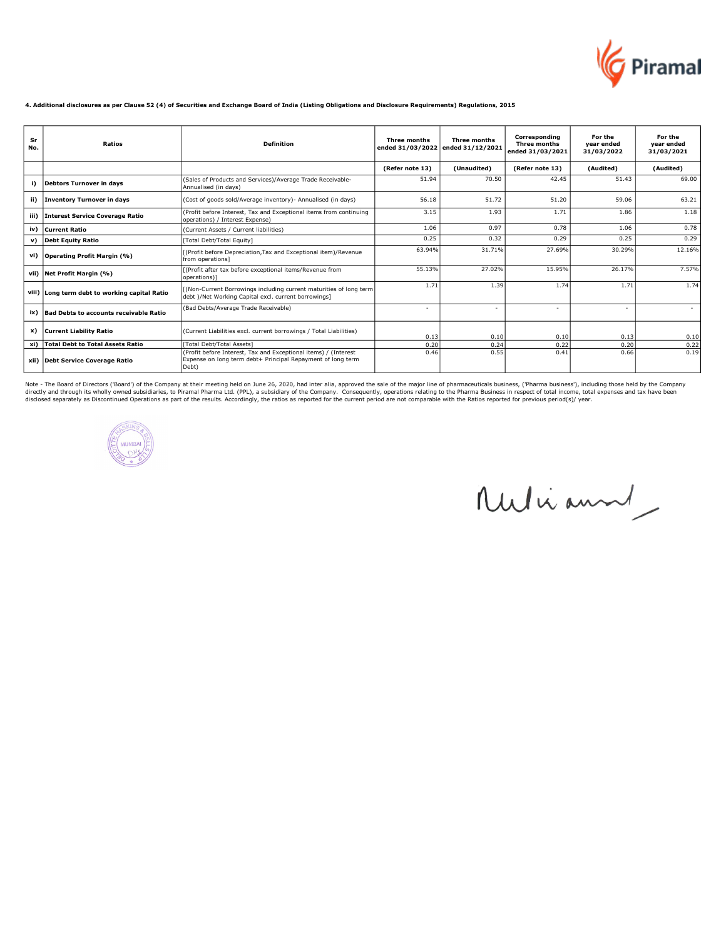

#### 4. Additional disclosures as per Clause 52 (4) of Securities and Exchange Board of India (Listing Obligations and Disclosure Requirements) Regulations, 2015

| Sr<br>No. | Ratios                                        | <b>Definition</b>                                                                                                                       | <b>Three months</b> | <b>Three months</b><br>ended 31/03/2022 ended 31/12/2021 | Corresponding<br>Three months<br>ended 31/03/2021 | For the<br>year ended<br>31/03/2022 | For the<br>year ended<br>31/03/2021 |
|-----------|-----------------------------------------------|-----------------------------------------------------------------------------------------------------------------------------------------|---------------------|----------------------------------------------------------|---------------------------------------------------|-------------------------------------|-------------------------------------|
|           |                                               |                                                                                                                                         | (Refer note 13)     | (Unaudited)                                              | (Refer note 13)                                   | (Audited)                           | (Audited)                           |
| i)        | <b>Debtors Turnover in days</b>               | (Sales of Products and Services)/Average Trade Receivable-<br>Annualised (in days)                                                      | 51.94               | 70.50                                                    | 42.45                                             | 51.43                               | 69.00                               |
| ii)       | <b>Inventory Turnover in days</b>             | (Cost of goods sold/Average inventory) - Annualised (in days)                                                                           | 56.18               | 51.72                                                    | 51.20                                             | 59.06                               | 63.21                               |
| iii)      | <b>Interest Service Coverage Ratio</b>        | (Profit before Interest, Tax and Exceptional items from continuing<br>operations) / Interest Expense)                                   | 3.15                | 1.93                                                     | 1.71                                              | 1.86                                | 1.18                                |
| iv)       | Current Ratio                                 | (Current Assets / Current liabilities)                                                                                                  | 1.06                | 0.97                                                     | 0.78                                              | 1.06                                | 0.78                                |
| v)        | <b>Debt Equity Ratio</b>                      | [Total Debt/Total Equity]                                                                                                               | 0.25                | 0.32                                                     | 0.29                                              | 0.25                                | 0.29                                |
| vi)       | <b>Operating Profit Margin (%)</b>            | [(Profit before Depreciation, Tax and Exceptional item)/Revenue<br>from operations]                                                     | 63.94%              | 31.71%                                                   | 27.69%                                            | 30.29%                              | 12.16%                              |
| vii)      | Net Profit Margin (%)                         | [(Profit after tax before exceptional items/Revenue from<br>operations)1                                                                | 55.13%              | 27.02%                                                   | 15.95%                                            | 26.17%                              | 7.57%                               |
|           | viii) Long term debt to working capital Ratio | [(Non-Current Borrowings including current maturities of long term<br>Idebt )/Net Working Capital excl. current borrowings]             | 1.71                | 1.39                                                     | 1.74                                              | 1.71                                | 1.74                                |
| ix)       | <b>Bad Debts to accounts receivable Ratio</b> | (Bad Debts/Average Trade Receivable)                                                                                                    |                     | ٠                                                        | $\overline{\phantom{a}}$                          | ٠                                   |                                     |
| x)        | <b>Current Liability Ratio</b>                | (Current Liabilities excl. current borrowings / Total Liabilities)                                                                      | 0.13                | 0.10                                                     | 0.10                                              | 0.13                                | 0.10                                |
| xi)       | <b>Total Debt to Total Assets Ratio</b>       | [Total Debt/Total Assets]                                                                                                               | 0.20                | 0.24                                                     | 0.22                                              | 0.20                                | 0.22                                |
| xii)      | Debt Service Coverage Ratio                   | (Profit before Interest, Tax and Exceptional items) / (Interest<br>Expense on long term debt+ Principal Repayment of long term<br>Debt) | 0.46                | 0.55                                                     | 0.41                                              | 0.66                                | 0.19                                |

Note - The Board of Directors ('Board') of the Company at their meeting held on June 26, 2020, had inter alia, approved the sale of the major line of pharmaceuticals business, ('Pharma business'), including those held by t



Ruliann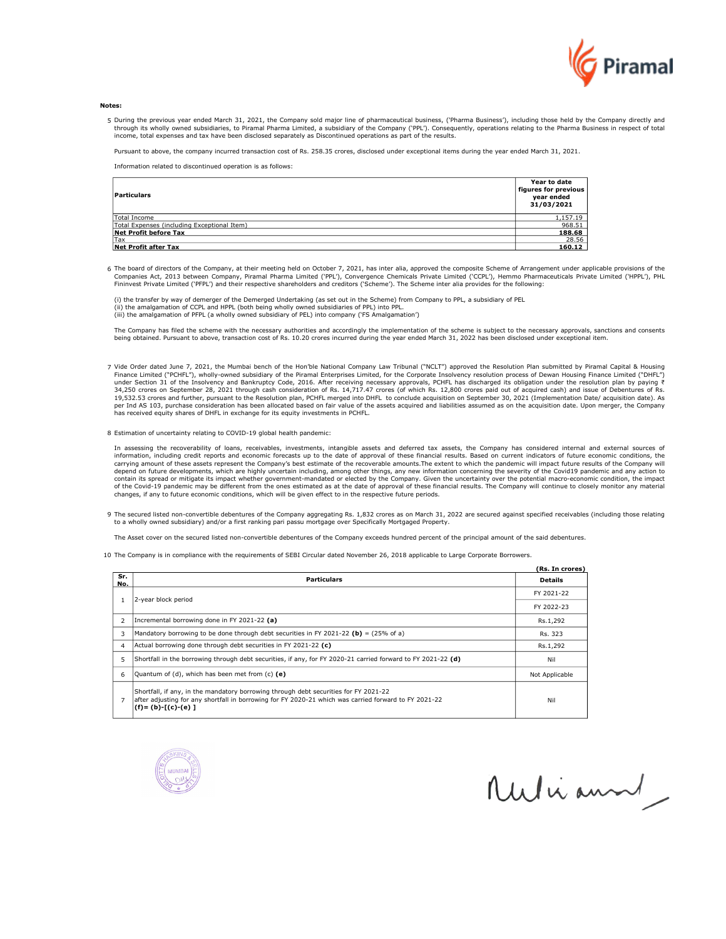

#### **Notes**

5 During the previous year ended March 31, 2021, the Company sold major line of pharmaceutical business, ('Pharma Business'), including those held by the Company directly and through its wholly owned subsidiaries, to Piramal Pharma Limited, a subsidiary of the Company ('PPL'). Consequently, operations relating to the Pharma Business in respect of total<br>income, total expenses and tax have been d

Pursuant to above, the company incurred transaction cost of Rs. 258.35 crores, disclosed under exceptional items during the year ended March 31, 2021.

Information related to discontinued operation is as follows:

| Particulars                                  | Year to date<br>figures for previous<br>year ended<br>31/03/2021 |
|----------------------------------------------|------------------------------------------------------------------|
| Total Income                                 | 1,157.19                                                         |
| [Total Expenses (including Exceptional Item) | 968.51                                                           |
| Net Profit before Tax                        | 188.68                                                           |
| <b>Tax</b>                                   | 28.56                                                            |
| Net Profit after Tax                         | 160.12                                                           |

6 The board of directors of the Company, at their meeting held on October 7, 2021, has inter alia, approved the composite Scheme of Arrangement under applicable provisions of the Companies Act, 2013 between Company, Pirama Fininvest Private Limited ('PFPL') and their respective shareholders and creditors ('Scheme'). The Scheme inter alia provides for the following:

(i) the transfer by way of demerger of the Demerged Undertaking (as set out in the Scheme) from Company to PPL, a subsidiary of PEL (ii) the amalgamation of CCPL and HPPL (both being wholly owned subsidiaries of PPL) into PPL. (iii) the amalgamation of PFPL (a wholly owned subsidiary of PEL) into company ('FS Amalgamation')

The Company has filed the scheme with the necessary authorities and accordingly the implementation of the scheme is subject to the necessary approvals, sanctions and consents being obtained. Pursuant to above, transaction cost of Rs. 10.20 crores incurred during the year ended March 31, 2022 has been disclosed under exceptional item.

7 Vide Order dated June 7, 2021, the Mumbai bench of the Hon'ble National Company Law Tribunal ("NCLT") approved the Resolution Plan submitted by Piramal Capital & Housing Finance Limited ("PCHFL"), wholly-owned subsidiary of the Piramal Enterprises Limited, for the Corporate Insolvency resolution process of Dewan Housing Finance Limited ("DHFL")<br>34,250 crores on September 28, 2021 through per Ind AS 103, purchase consideration has been allocated based on fair value of the assets acquired and liabilities assumed as on the acquisition date. Upon merger, the Company<br>has received equity shares of DHFL in exchan

8 Estimation of uncertainty relating to COVID-19 global health pandemic:

In assessing the recoverability of loans, receivables, investments, intangible assets and deferred tax assets, the Company has considered internal and external sources of information, including credit reports and economic forecasts up to the date of approval of these financial results. Based on current indicators of future economic conditions, the carrying amount of these assets represent t depend on future developments, which are highly uncertain including, among other things, any new information concerning the severity of the Covid19 pandemic and any action to<br>contain its spread or mitigate its impact wheth of the Covid-19 pandemic may be different from the ones estimated as at the date of approval of these financial results. The Company will continue to closely monitor any material changes, if any to future economic conditions, which will be given effect to in the respective future periods.

9 The secured listed non-convertible debentures of the Company aggregating Rs. 1,832 crores as on March 31, 2022 are secured against specified receivables (including those relating to a wholly owned subsidiary) and/or a first ranking pari passu mortgage over Specifically Mortgaged Property.

The Asset cover on the secured listed non-convertible debentures of the Company exceeds hundred percent of the principal amount of the said debentures.

10 The Company is in compliance with the requirements of SEBI Circular dated November 26, 2018 applicable to Large Corporate Borrowers.

|                          |                                                                                                                                                                                                                            | (Rs. In crores) |
|--------------------------|----------------------------------------------------------------------------------------------------------------------------------------------------------------------------------------------------------------------------|-----------------|
| Sr.<br>No.               | <b>Particulars</b>                                                                                                                                                                                                         | <b>Details</b>  |
|                          | 2-year block period                                                                                                                                                                                                        | FY 2021-22      |
|                          |                                                                                                                                                                                                                            | FY 2022-23      |
| $\overline{\phantom{a}}$ | Incremental borrowing done in FY 2021-22 (a)                                                                                                                                                                               | Rs.1,292        |
| 3                        | Mandatory borrowing to be done through debt securities in FY 2021-22 (b) = (25% of a)                                                                                                                                      | Rs. 323         |
| 4                        | Actual borrowing done through debt securities in FY 2021-22 (c)                                                                                                                                                            | Rs.1,292        |
| 5                        | Shortfall in the borrowing through debt securities, if any, for FY 2020-21 carried forward to FY 2021-22 (d)                                                                                                               | Nil             |
| 6                        | Quantum of (d), which has been met from (c) (e)                                                                                                                                                                            | Not Applicable  |
|                          | Shortfall, if any, in the mandatory borrowing through debt securities for FY 2021-22<br>after adjusting for any shortfall in borrowing for FY 2020-21 which was carried forward to FY 2021-22<br>$(f) = (b) - [(c) - (e)]$ | Nil             |



Nulianne